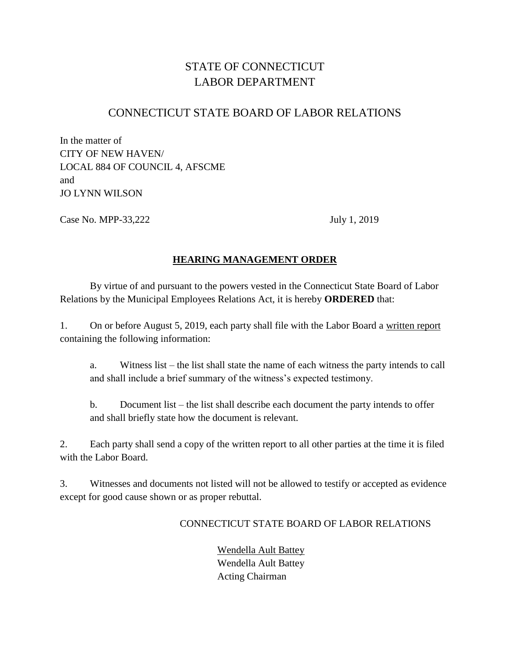# STATE OF CONNECTICUT LABOR DEPARTMENT

# CONNECTICUT STATE BOARD OF LABOR RELATIONS

In the matter of CITY OF NEW HAVEN/ LOCAL 884 OF COUNCIL 4, AFSCME and JO LYNN WILSON

Case No. MPP-33,222 July 1, 2019

## **HEARING MANAGEMENT ORDER**

By virtue of and pursuant to the powers vested in the Connecticut State Board of Labor Relations by the Municipal Employees Relations Act, it is hereby **ORDERED** that:

1. On or before August 5, 2019, each party shall file with the Labor Board a written report containing the following information:

a. Witness list – the list shall state the name of each witness the party intends to call and shall include a brief summary of the witness's expected testimony.

b. Document list – the list shall describe each document the party intends to offer and shall briefly state how the document is relevant.

2. Each party shall send a copy of the written report to all other parties at the time it is filed with the Labor Board.

3. Witnesses and documents not listed will not be allowed to testify or accepted as evidence except for good cause shown or as proper rebuttal.

#### CONNECTICUT STATE BOARD OF LABOR RELATIONS

 Wendella Ault Battey Wendella Ault Battey Acting Chairman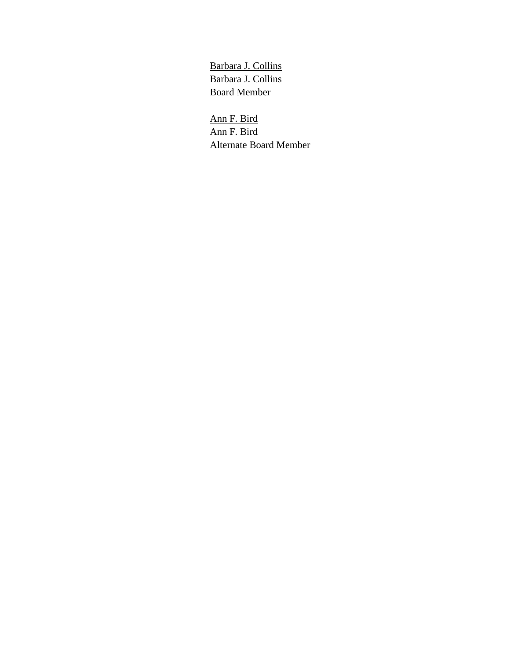Barbara J. Collins Barbara J. Collins Board Member

Ann F. Bird Ann F. Bird Alternate Board Member